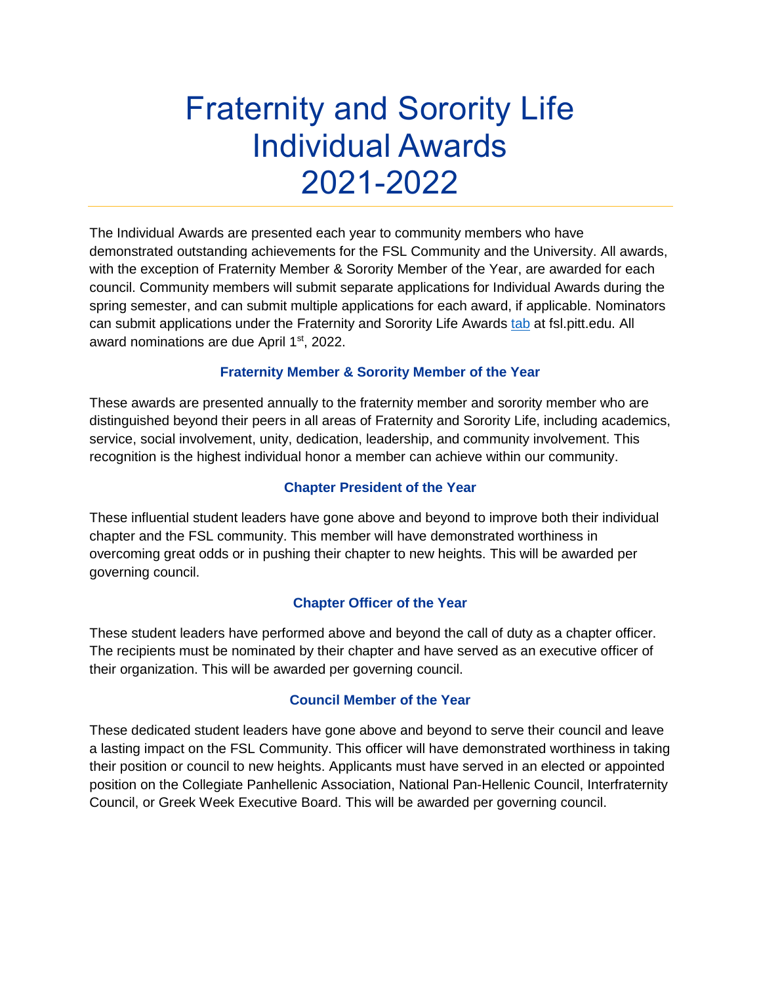# Fraternity and Sorority Life Individual Awards 2021-2022

The Individual Awards are presented each year to community members who have demonstrated outstanding achievements for the FSL Community and the University. All awards, with the exception of Fraternity Member & Sorority Member of the Year, are awarded for each council. Community members will submit separate applications for Individual Awards during the spring semester, and can submit multiple applications for each award, if applicable. Nominators can submit applications under the Fraternity and Sorority Life Awards [tab](https://www.studentaffairs.pitt.edu/ccld/fsl/fraternity-sorority-award-nomination-form/) at fsl.pitt.edu. All award nominations are due April 1<sup>st</sup>, 2022.

## **Fraternity Member & Sorority Member of the Year**

These awards are presented annually to the fraternity member and sorority member who are distinguished beyond their peers in all areas of Fraternity and Sorority Life, including academics, service, social involvement, unity, dedication, leadership, and community involvement. This recognition is the highest individual honor a member can achieve within our community.

## **Chapter President of the Year**

These influential student leaders have gone above and beyond to improve both their individual chapter and the FSL community. This member will have demonstrated worthiness in overcoming great odds or in pushing their chapter to new heights. This will be awarded per governing council.

# **Chapter Officer of the Year**

These student leaders have performed above and beyond the call of duty as a chapter officer. The recipients must be nominated by their chapter and have served as an executive officer of their organization. This will be awarded per governing council.

## **Council Member of the Year**

These dedicated student leaders have gone above and beyond to serve their council and leave a lasting impact on the FSL Community. This officer will have demonstrated worthiness in taking their position or council to new heights. Applicants must have served in an elected or appointed position on the Collegiate Panhellenic Association, National Pan-Hellenic Council, Interfraternity Council, or Greek Week Executive Board. This will be awarded per governing council.